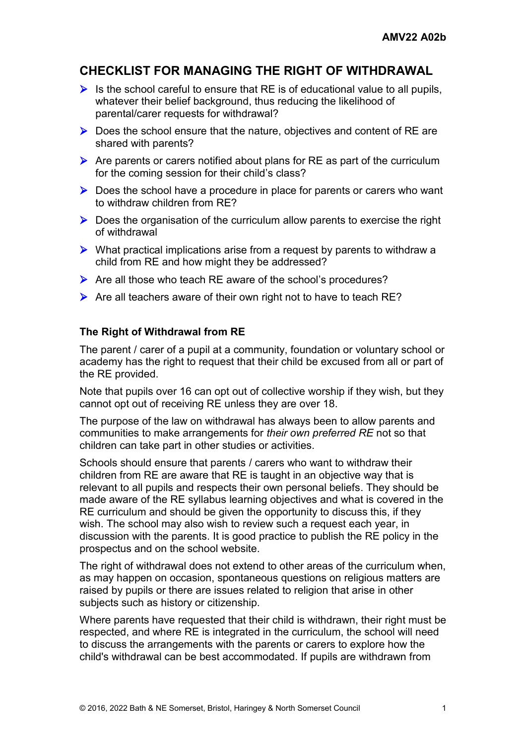## **CHECKLIST FOR MANAGING THE RIGHT OF WITHDRAWAL**

- $\triangleright$  Is the school careful to ensure that RE is of educational value to all pupils, whatever their belief background, thus reducing the likelihood of parental/carer requests for withdrawal?
- $\triangleright$  Does the school ensure that the nature, objectives and content of RE are shared with parents?
- $\triangleright$  Are parents or carers notified about plans for RE as part of the curriculum for the coming session for their child's class?
- $\triangleright$  Does the school have a procedure in place for parents or carers who want to withdraw children from RE?
- $\triangleright$  Does the organisation of the curriculum allow parents to exercise the right of withdrawal
- $\triangleright$  What practical implications arise from a request by parents to withdraw a child from RE and how might they be addressed?
- $\triangleright$  Are all those who teach RE aware of the school's procedures?
- $\triangleright$  Are all teachers aware of their own right not to have to teach RE?

## **The Right of Withdrawal from RE**

The parent / carer of a pupil at a community, foundation or voluntary school or academy has the right to request that their child be excused from all or part of the RE provided.

Note that pupils over 16 can opt out of collective worship if they wish, but they cannot opt out of receiving RE unless they are over 18.

The purpose of the law on withdrawal has always been to allow parents and communities to make arrangements for *their own preferred RE* not so that children can take part in other studies or activities.

Schools should ensure that parents / carers who want to withdraw their children from RE are aware that RE is taught in an objective way that is relevant to all pupils and respects their own personal beliefs. They should be made aware of the RE syllabus learning objectives and what is covered in the RE curriculum and should be given the opportunity to discuss this, if they wish. The school may also wish to review such a request each year, in discussion with the parents. It is good practice to publish the RE policy in the prospectus and on the school website.

The right of withdrawal does not extend to other areas of the curriculum when, as may happen on occasion, spontaneous questions on religious matters are raised by pupils or there are issues related to religion that arise in other subjects such as history or citizenship.

Where parents have requested that their child is withdrawn, their right must be respected, and where RE is integrated in the curriculum, the school will need to discuss the arrangements with the parents or carers to explore how the child's withdrawal can be best accommodated. If pupils are withdrawn from